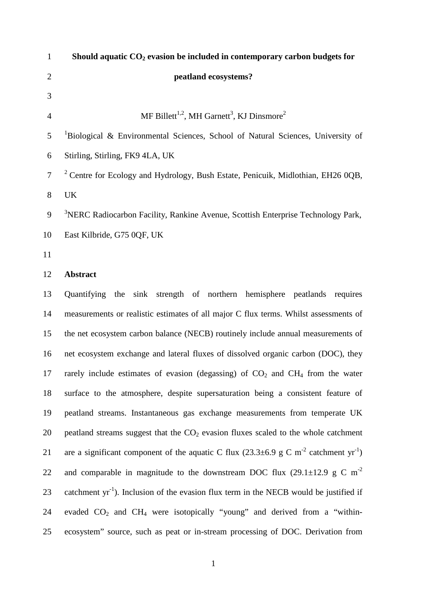| $\mathbf{1}$   | Should aquatic $CO2$ evasion be included in contemporary carbon budgets for                                   |
|----------------|---------------------------------------------------------------------------------------------------------------|
| $\mathbf{2}$   | peatland ecosystems?                                                                                          |
| $\mathfrak{Z}$ |                                                                                                               |
| $\overline{4}$ | MF Billett <sup>1,2</sup> , MH Garnett <sup>3</sup> , KJ Dinsmore <sup>2</sup>                                |
| 5              | <sup>1</sup> Biological & Environmental Sciences, School of Natural Sciences, University of                   |
| 6              | Stirling, Stirling, FK9 4LA, UK                                                                               |
| $\overline{7}$ | <sup>2</sup> Centre for Ecology and Hydrology, Bush Estate, Penicuik, Midlothian, EH26 0QB,                   |
| $8\,$          | <b>UK</b>                                                                                                     |
| 9              | <sup>3</sup> NERC Radiocarbon Facility, Rankine Avenue, Scottish Enterprise Technology Park,                  |
| 10             | East Kilbride, G75 0QF, UK                                                                                    |
| 11             |                                                                                                               |
| 12             | <b>Abstract</b>                                                                                               |
| 13             | Quantifying the sink strength of northern hemisphere peatlands requires                                       |
| 14             | measurements or realistic estimates of all major C flux terms. Whilst assessments of                          |
| 15             | the net ecosystem carbon balance (NECB) routinely include annual measurements of                              |
| 16             | net ecosystem exchange and lateral fluxes of dissolved organic carbon (DOC), they                             |
| 17             | rarely include estimates of evasion (degassing) of $CO2$ and $CH4$ from the water                             |
| 18             | surface to the atmosphere, despite supersaturation being a consistent feature of                              |
| 19             | peatland streams. Instantaneous gas exchange measurements from temperate UK                                   |
| 20             | peatland streams suggest that the $CO2$ evasion fluxes scaled to the whole catchment                          |
| 21             | are a significant component of the aquatic C flux $(23.3\pm6.9 \text{ g C m}^{-2} \text{ catchment yr}^{-1})$ |
| 22             | and comparable in magnitude to the downstream DOC flux (29.1 $\pm$ 12.9 g C m <sup>-2</sup>                   |
| 23             | catchment yr <sup>-1</sup> ). Inclusion of the evasion flux term in the NECB would be justified if            |
| 24             | evaded $CO_2$ and $CH_4$ were isotopically "young" and derived from a "within-                                |
| 25             | ecosystem" source, such as peat or in-stream processing of DOC. Derivation from                               |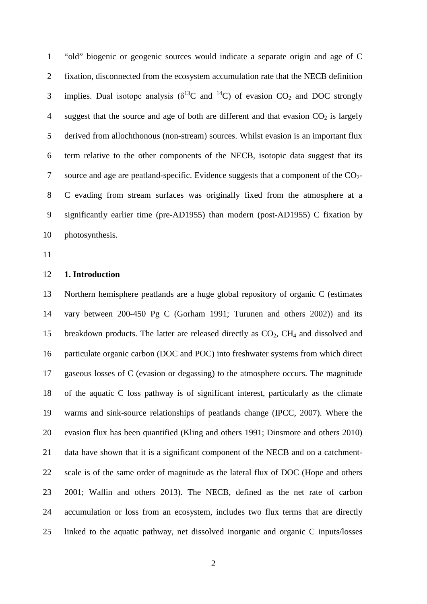"old" biogenic or geogenic sources would indicate a separate origin and age of C fixation, disconnected from the ecosystem accumulation rate that the NECB definition 3 implies. Dual isotope analysis ( $\delta^{13}$ C and  $^{14}$ C) of evasion CO<sub>2</sub> and DOC strongly 4 suggest that the source and age of both are different and that evasion  $CO<sub>2</sub>$  is largely derived from allochthonous (non-stream) sources. Whilst evasion is an important flux term relative to the other components of the NECB, isotopic data suggest that its 7 source and age are peatland-specific. Evidence suggests that a component of the  $CO<sub>2</sub>$ - C evading from stream surfaces was originally fixed from the atmosphere at a significantly earlier time (pre-AD1955) than modern (post-AD1955) C fixation by photosynthesis.

#### **1. Introduction**

 Northern hemisphere peatlands are a huge global repository of organic C (estimates vary between 200-450 Pg C (Gorham 1991; Turunen and others 2002)) and its 15 breakdown products. The latter are released directly as  $CO<sub>2</sub>$ , CH<sub>4</sub> and dissolved and particulate organic carbon (DOC and POC) into freshwater systems from which direct gaseous losses of C (evasion or degassing) to the atmosphere occurs. The magnitude of the aquatic C loss pathway is of significant interest, particularly as the climate warms and sink-source relationships of peatlands change (IPCC, 2007). Where the evasion flux has been quantified (Kling and others 1991; Dinsmore and others 2010) data have shown that it is a significant component of the NECB and on a catchment- scale is of the same order of magnitude as the lateral flux of DOC (Hope and others 2001; Wallin and others 2013). The NECB, defined as the net rate of carbon accumulation or loss from an ecosystem, includes two flux terms that are directly linked to the aquatic pathway, net dissolved inorganic and organic C inputs/losses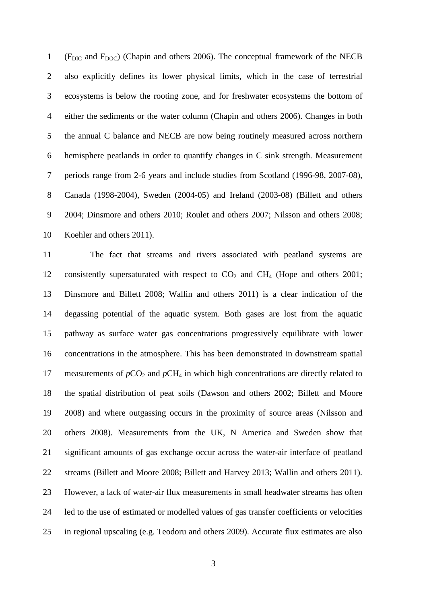1 (F<sub>DIC</sub> and F<sub>DOC</sub>) (Chapin and others 2006). The conceptual framework of the NECB also explicitly defines its lower physical limits, which in the case of terrestrial ecosystems is below the rooting zone, and for freshwater ecosystems the bottom of either the sediments or the water column (Chapin and others 2006). Changes in both the annual C balance and NECB are now being routinely measured across northern hemisphere peatlands in order to quantify changes in C sink strength. Measurement periods range from 2-6 years and include studies from Scotland (1996-98, 2007-08), Canada (1998-2004), Sweden (2004-05) and Ireland (2003-08) (Billett and others 2004; Dinsmore and others 2010; Roulet and others 2007; Nilsson and others 2008; Koehler and others 2011).

 The fact that streams and rivers associated with peatland systems are 12 consistently supersaturated with respect to  $CO<sub>2</sub>$  and  $CH<sub>4</sub>$  (Hope and others 2001; Dinsmore and Billett 2008; Wallin and others 2011) is a clear indication of the degassing potential of the aquatic system. Both gases are lost from the aquatic pathway as surface water gas concentrations progressively equilibrate with lower concentrations in the atmosphere. This has been demonstrated in downstream spatial 17 measurements of  $pCO_2$  and  $pCH_4$  in which high concentrations are directly related to the spatial distribution of peat soils (Dawson and others 2002; Billett and Moore 2008) and where outgassing occurs in the proximity of source areas (Nilsson and others 2008). Measurements from the UK, N America and Sweden show that significant amounts of gas exchange occur across the water-air interface of peatland streams (Billett and Moore 2008; Billett and Harvey 2013; Wallin and others 2011). However, a lack of water-air flux measurements in small headwater streams has often led to the use of estimated or modelled values of gas transfer coefficients or velocities in regional upscaling (e.g. Teodoru and others 2009). Accurate flux estimates are also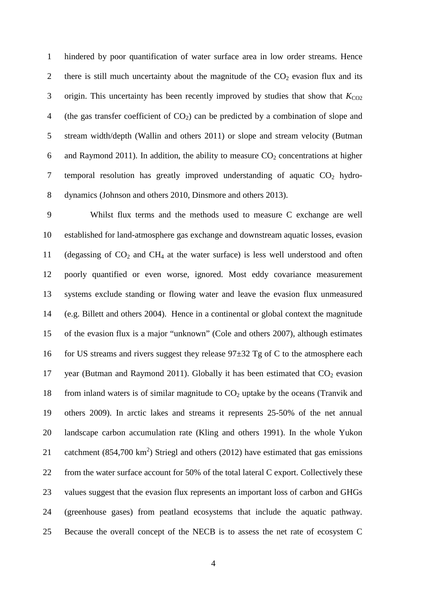hindered by poor quantification of water surface area in low order streams. Hence 2 there is still much uncertainty about the magnitude of the  $CO<sub>2</sub>$  evasion flux and its 3 origin. This uncertainty has been recently improved by studies that show that  $K_{CO2}$ 4 (the gas transfer coefficient of  $CO<sub>2</sub>$ ) can be predicted by a combination of slope and stream width/depth (Wallin and others 2011) or slope and stream velocity (Butman 6 and Raymond 2011). In addition, the ability to measure  $CO<sub>2</sub>$  concentrations at higher 7 temporal resolution has greatly improved understanding of aquatic  $CO<sub>2</sub>$  hydro-dynamics (Johnson and others 2010, Dinsmore and others 2013).

 Whilst flux terms and the methods used to measure C exchange are well established for land-atmosphere gas exchange and downstream aquatic losses, evasion 11 (degassing of  $CO<sub>2</sub>$  and  $CH<sub>4</sub>$  at the water surface) is less well understood and often poorly quantified or even worse, ignored. Most eddy covariance measurement systems exclude standing or flowing water and leave the evasion flux unmeasured (e.g. Billett and others 2004). Hence in a continental or global context the magnitude of the evasion flux is a major "unknown" (Cole and others 2007), although estimates 16 for US streams and rivers suggest they release  $97\pm32$  Tg of C to the atmosphere each 17 year (Butman and Raymond 2011). Globally it has been estimated that  $CO<sub>2</sub>$  evasion 18 from inland waters is of similar magnitude to  $CO<sub>2</sub>$  uptake by the oceans (Tranvik and others 2009). In arctic lakes and streams it represents 25-50% of the net annual landscape carbon accumulation rate (Kling and others 1991). In the whole Yukon 21 catchment  $(854,700 \text{ km}^2)$  Striegl and others (2012) have estimated that gas emissions from the water surface account for 50% of the total lateral C export. Collectively these values suggest that the evasion flux represents an important loss of carbon and GHGs (greenhouse gases) from peatland ecosystems that include the aquatic pathway. Because the overall concept of the NECB is to assess the net rate of ecosystem C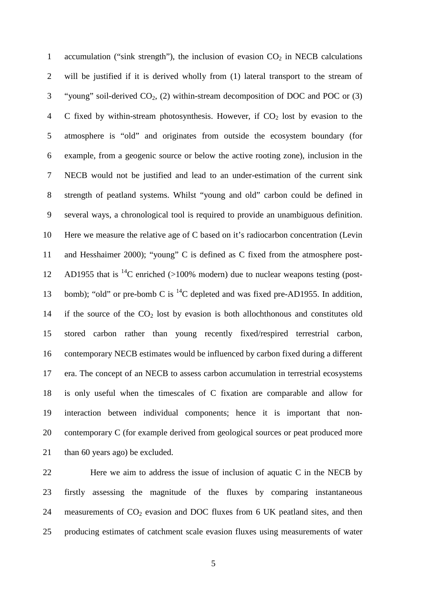1 accumulation ("sink strength"), the inclusion of evasion  $CO<sub>2</sub>$  in NECB calculations will be justified if it is derived wholly from (1) lateral transport to the stream of 3 "young" soil-derived  $CO<sub>2</sub>$ , (2) within-stream decomposition of DOC and POC or (3) 4 C fixed by within-stream photosynthesis. However, if  $CO<sub>2</sub>$  lost by evasion to the atmosphere is "old" and originates from outside the ecosystem boundary (for example, from a geogenic source or below the active rooting zone), inclusion in the NECB would not be justified and lead to an under-estimation of the current sink strength of peatland systems. Whilst "young and old" carbon could be defined in several ways, a chronological tool is required to provide an unambiguous definition. Here we measure the relative age of C based on it's radiocarbon concentration (Levin and Hesshaimer 2000); "young" C is defined as C fixed from the atmosphere post-12 AD1955 that is  ${}^{14}C$  enriched (>100% modern) due to nuclear weapons testing (post-13 bomb); "old" or pre-bomb C is  $^{14}C$  depleted and was fixed pre-AD1955. In addition, 14 if the source of the  $CO<sub>2</sub>$  lost by evasion is both allochthonous and constitutes old stored carbon rather than young recently fixed/respired terrestrial carbon, contemporary NECB estimates would be influenced by carbon fixed during a different era. The concept of an NECB to assess carbon accumulation in terrestrial ecosystems is only useful when the timescales of C fixation are comparable and allow for interaction between individual components; hence it is important that non- contemporary C (for example derived from geological sources or peat produced more 21 than 60 years ago) be excluded.

 Here we aim to address the issue of inclusion of aquatic C in the NECB by firstly assessing the magnitude of the fluxes by comparing instantaneous 24 measurements of  $CO<sub>2</sub>$  evasion and DOC fluxes from 6 UK peatland sites, and then producing estimates of catchment scale evasion fluxes using measurements of water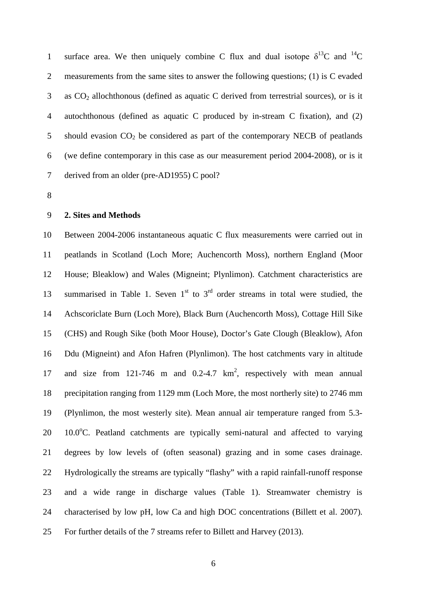1 surface area. We then uniquely combine C flux and dual isotope  $\delta^{13}C$  and  $^{14}C$  measurements from the same sites to answer the following questions; (1) is C evaded as  $CO<sub>2</sub>$  allochthonous (defined as aquatic C derived from terrestrial sources), or is it autochthonous (defined as aquatic C produced by in-stream C fixation), and (2) 5 should evasion  $CO<sub>2</sub>$  be considered as part of the contemporary NECB of peatlands (we define contemporary in this case as our measurement period 2004-2008), or is it derived from an older (pre-AD1955) C pool?

#### **2. Sites and Methods**

 Between 2004-2006 instantaneous aquatic C flux measurements were carried out in peatlands in Scotland (Loch More; Auchencorth Moss), northern England (Moor House; Bleaklow) and Wales (Migneint; Plynlimon). Catchment characteristics are 13 summarised in Table 1. Seven  $1<sup>st</sup>$  to  $3<sup>rd</sup>$  order streams in total were studied, the Achscoriclate Burn (Loch More), Black Burn (Auchencorth Moss), Cottage Hill Sike (CHS) and Rough Sike (both Moor House), Doctor's Gate Clough (Bleaklow), Afon Ddu (Migneint) and Afon Hafren (Plynlimon). The host catchments vary in altitude 17 and size from 121-746 m and 0.2-4.7  $km^2$ , respectively with mean annual precipitation ranging from 1129 mm (Loch More, the most northerly site) to 2746 mm (Plynlimon, the most westerly site). Mean annual air temperature ranged from 5.3-  $10.0^{\circ}$ C. Peatland catchments are typically semi-natural and affected to varying degrees by low levels of (often seasonal) grazing and in some cases drainage. Hydrologically the streams are typically "flashy" with a rapid rainfall-runoff response and a wide range in discharge values (Table 1). Streamwater chemistry is characterised by low pH, low Ca and high DOC concentrations (Billett et al. 2007). For further details of the 7 streams refer to Billett and Harvey (2013).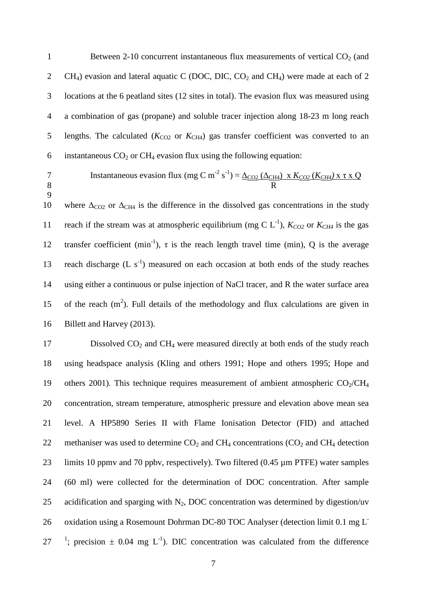1 Between 2-10 concurrent instantaneous flux measurements of vertical  $CO<sub>2</sub>$  (and 2 CH<sub>4</sub>) evasion and lateral aquatic C (DOC, DIC, CO<sub>2</sub> and CH<sub>4</sub>) were made at each of 2 3 locations at the 6 peatland sites (12 sites in total). The evasion flux was measured using 4 a combination of gas (propane) and soluble tracer injection along 18-23 m long reach 5 lengths. The calculated  $(K_{CO2}$  or  $K_{CH4}$ ) gas transfer coefficient was converted to an 6 instantaneous  $CO<sub>2</sub>$  or  $CH<sub>4</sub>$  evasion flux using the following equation:

9

$$
7 \tInstantaneous evasion flux (mg C m-2 s-1) = \underline{\Delta_{CO2} (\Delta_{CH4})} \times K_{CO2} (K_{CH4}) \times \tau \times Q
$$

10 where  $\Delta_{CO2}$  or  $\Delta_{CH4}$  is the difference in the dissolved gas concentrations in the study reach if the stream was at atmospheric equilibrium (mg C  $L^{-1}$ ),  $K_{CO2}$  or  $K_{CH4}$  is the gas 12 transfer coefficient (min<sup>-1</sup>),  $\tau$  is the reach length travel time (min), Q is the average 13 reach discharge  $(L \text{ s}^{-1})$  measured on each occasion at both ends of the study reaches 14 using either a continuous or pulse injection of NaCl tracer, and R the water surface area 15 of the reach  $(m^2)$ . Full details of the methodology and flux calculations are given in 16 Billett and Harvey (2013).

17 Dissolved  $CO<sub>2</sub>$  and  $CH<sub>4</sub>$  were measured directly at both ends of the study reach 18 using headspace analysis (Kling and others 1991; Hope and others 1995; Hope and 19 others 2001). This technique requires measurement of ambient atmospheric  $CO_2/CH_4$ 20 concentration, stream temperature, atmospheric pressure and elevation above mean sea 21 level. A HP5890 Series II with Flame Ionisation Detector (FID) and attached 22 methaniser was used to determine  $CO<sub>2</sub>$  and  $CH<sub>4</sub>$  concentrations ( $CO<sub>2</sub>$  and  $CH<sub>4</sub>$  detection 23 limits 10 ppmv and 70 ppbv, respectively). Two filtered (0.45 µm PTFE) water samples 24 (60 ml) were collected for the determination of DOC concentration. After sample 25 acidification and sparging with  $N_2$ , DOC concentration was determined by digestion/uv 26 oxidation using a Rosemount Dohrman DC-80 TOC Analyser (detection limit 0.1 mg L<sup>-</sup> 27 <sup>1</sup>; precision  $\pm$  0.04 mg L<sup>-1</sup>). DIC concentration was calculated from the difference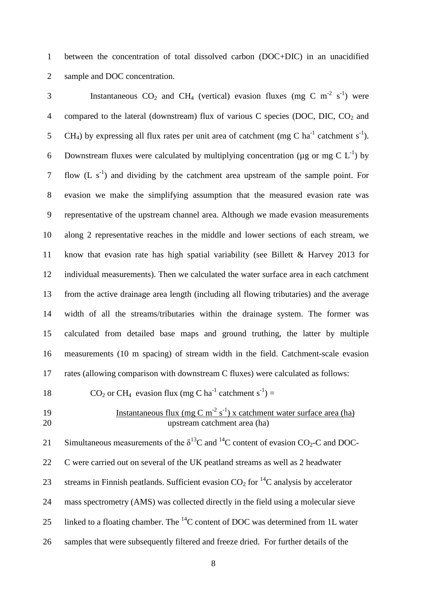1 between the concentration of total dissolved carbon (DOC+DIC) in an unacidified 2 sample and DOC concentration.

3 Instantaneous  $CO_2$  and  $CH_4$  (vertical) evasion fluxes (mg C m<sup>-2</sup> s<sup>-1</sup>) were 4 compared to the lateral (downstream) flux of various C species (DOC, DIC,  $CO<sub>2</sub>$  and 5 CH<sub>4</sub>) by expressing all flux rates per unit area of catchment (mg C ha<sup>-1</sup> catchment s<sup>-1</sup>). 6 Downstream fluxes were calculated by multiplying concentration ( $\mu$ g or mg C L<sup>-1</sup>) by 7 flow  $(L \, s^{-1})$  and dividing by the catchment area upstream of the sample point. For evasion we make the simplifying assumption that the measured evasion rate was representative of the upstream channel area. Although we made evasion measurements along 2 representative reaches in the middle and lower sections of each stream, we know that evasion rate has high spatial variability (see Billett & Harvey 2013 for individual measurements). Then we calculated the water surface area in each catchment from the active drainage area length (including all flowing tributaries) and the average width of all the streams/tributaries within the drainage system. The former was calculated from detailed base maps and ground truthing, the latter by multiple measurements (10 m spacing) of stream width in the field. Catchment-scale evasion rates (allowing comparison with downstream C fluxes) were calculated as follows:

18  $CO_2$  or CH<sub>4</sub> evasion flux (mg C ha<sup>-1</sup> catchment s<sup>-1</sup>) =

Instantaneous flux (mg C m-2 s -1 19 ) x catchment water surface area (ha) 20 upstream catchment area (ha)

21 Simultaneous measurements of the  $\delta^{13}$ C and  $^{14}$ C content of evasion CO<sub>2</sub>-C and DOC-22 C were carried out on several of the UK peatland streams as well as 2 headwater 23 streams in Finnish peatlands. Sufficient evasion  $CO_2$  for <sup>14</sup>C analysis by accelerator 24 mass spectrometry (AMS) was collected directly in the field using a molecular sieve 25 linked to a floating chamber. The  ${}^{14}C$  content of DOC was determined from 1L water 26 samples that were subsequently filtered and freeze dried. For further details of the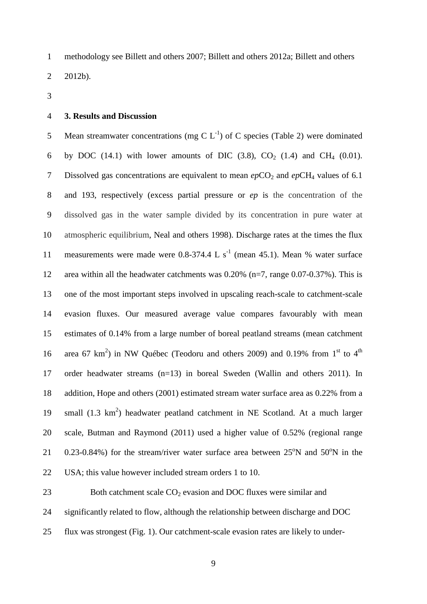methodology see Billett and others 2007; Billett and others 2012a; Billett and others 2012b).

#### **3. Results and Discussion**

5 Mean streamwater concentrations (mg C  $L^{-1}$ ) of C species (Table 2) were dominated 6 by DOC (14.1) with lower amounts of DIC (3.8),  $CO_2$  (1.4) and CH<sub>4</sub> (0.01). 7 Dissolved gas concentrations are equivalent to mean  $epCO<sub>2</sub>$  and  $epCH<sub>4</sub>$  values of 6.1 and 193, respectively (excess partial pressure or *ep* is the concentration of the dissolved gas in the water sample divided by its concentration in pure water at atmospheric equilibrium, Neal and others 1998). Discharge rates at the times the flux 11 measurements were made were  $0.8-374.4$  L s<sup>-1</sup> (mean 45.1). Mean % water surface area within all the headwater catchments was 0.20% (n=7, range 0.07-0.37%). This is one of the most important steps involved in upscaling reach-scale to catchment-scale evasion fluxes. Our measured average value compares favourably with mean estimates of 0.14% from a large number of boreal peatland streams (mean catchment 16 area 67 km<sup>2</sup>) in NW Québec (Teodoru and others 2009) and 0.19% from 1<sup>st</sup> to 4<sup>th</sup> order headwater streams (n=13) in boreal Sweden (Wallin and others 2011). In addition, Hope and others (2001) estimated stream water surface area as 0.22% from a 19 small  $(1.3 \text{ km}^2)$  headwater peatland catchment in NE Scotland. At a much larger scale, Butman and Raymond (2011) used a higher value of 0.52% (regional range 21 0.23-0.84%) for the stream/river water surface area between  $25^{\circ}$ N and  $50^{\circ}$ N in the USA; this value however included stream orders 1 to 10.

23 Both catchment scale  $CO<sub>2</sub>$  evasion and DOC fluxes were similar and

significantly related to flow, although the relationship between discharge and DOC

flux was strongest (Fig. 1). Our catchment-scale evasion rates are likely to under-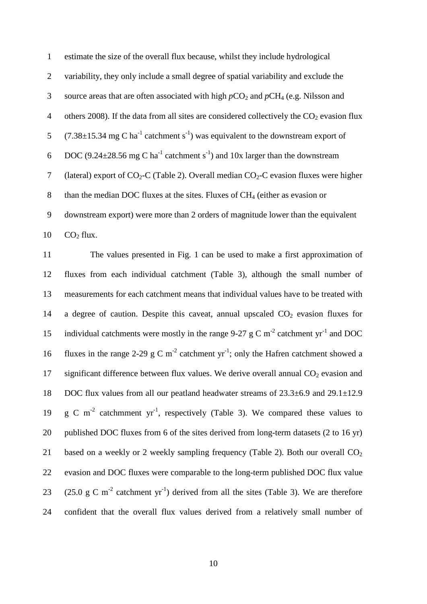| $\mathbf{1}$   | estimate the size of the overall flux because, whilst they include hydrological                             |
|----------------|-------------------------------------------------------------------------------------------------------------|
| $\overline{2}$ | variability, they only include a small degree of spatial variability and exclude the                        |
| 3              | source areas that are often associated with high $pCO_2$ and $pCH_4$ (e.g. Nilsson and                      |
| 4              | others 2008). If the data from all sites are considered collectively the $CO2$ evasion flux                 |
| 5              | $(7.38\pm15.34 \text{ mg C ha}^{-1}$ catchment s <sup>-1</sup> ) was equivalent to the downstream export of |
| 6              | DOC (9.24 $\pm$ 28.56 mg C ha <sup>-1</sup> catchment s <sup>-1</sup> ) and 10x larger than the downstream  |
| $\tau$         | (lateral) export of $CO_2$ -C (Table 2). Overall median $CO_2$ -C evasion fluxes were higher                |
| 8              | than the median DOC fluxes at the sites. Fluxes of $CH4$ (either as evasion or                              |
| 9              | downstream export) were more than 2 orders of magnitude lower than the equivalent                           |
| 10             | CO <sub>2</sub> flux.                                                                                       |

 The values presented in Fig. 1 can be used to make a first approximation of fluxes from each individual catchment (Table 3), although the small number of measurements for each catchment means that individual values have to be treated with 14 a degree of caution. Despite this caveat, annual upscaled  $CO<sub>2</sub>$  evasion fluxes for 15 individual catchments were mostly in the range 9-27 g C m<sup>-2</sup> catchment  $yr^{-1}$  and DOC 16 fluxes in the range 2-29 g C m<sup>-2</sup> catchment yr<sup>-1</sup>; only the Hafren catchment showed a 17 significant difference between flux values. We derive overall annual  $CO<sub>2</sub>$  evasion and DOC flux values from all our peatland headwater streams of 23.3±6.9 and 29.1±12.9 19 g C m<sup>-2</sup> catchmment  $yr^{-1}$ , respectively (Table 3). We compared these values to published DOC fluxes from 6 of the sites derived from long-term datasets (2 to 16 yr) 21 based on a weekly or 2 weekly sampling frequency (Table 2). Both our overall  $CO<sub>2</sub>$  evasion and DOC fluxes were comparable to the long-term published DOC flux value (25.0 g C m<sup>-2</sup> catchment yr<sup>-1</sup>) derived from all the sites (Table 3). We are therefore confident that the overall flux values derived from a relatively small number of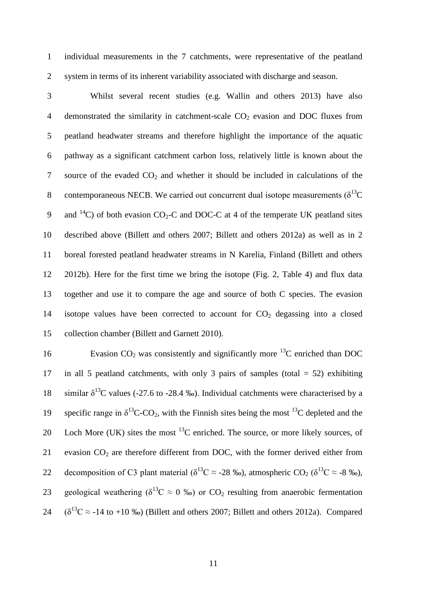1 individual measurements in the 7 catchments, were representative of the peatland 2 system in terms of its inherent variability associated with discharge and season.

 Whilst several recent studies (e.g. Wallin and others 2013) have also 4 demonstrated the similarity in catchment-scale  $CO<sub>2</sub>$  evasion and DOC fluxes from peatland headwater streams and therefore highlight the importance of the aquatic pathway as a significant catchment carbon loss, relatively little is known about the 7 source of the evaded  $CO<sub>2</sub>$  and whether it should be included in calculations of the 8 contemporaneous NECB. We carried out concurrent dual isotope measurements  $(\delta^{13}C)$ 9 and  $14$ C) of both evasion CO<sub>2</sub>-C and DOC-C at 4 of the temperate UK peatland sites described above (Billett and others 2007; Billett and others 2012a) as well as in 2 boreal forested peatland headwater streams in N Karelia, Finland (Billett and others 2012b). Here for the first time we bring the isotope (Fig. 2, Table 4) and flux data together and use it to compare the age and source of both C species. The evasion 14 isotope values have been corrected to account for  $CO<sub>2</sub>$  degassing into a closed collection chamber (Billett and Garnett 2010).

16 Evasion  $CO<sub>2</sub>$  was consistently and significantly more <sup>13</sup>C enriched than DOC 17 in all 5 peatland catchments, with only 3 pairs of samples (total = 52) exhibiting 18 similar  $\delta^{13}$ C values (-27.6 to -28.4 ‰). Individual catchments were characterised by a 19 specific range in  $\delta^{13}$ C-CO<sub>2</sub>, with the Finnish sites being the most <sup>13</sup>C depleted and the 20 Loch More (UK) sites the most  $^{13}$ C enriched. The source, or more likely sources, of 21 evasion  $CO<sub>2</sub>$  are therefore different from DOC, with the former derived either from decomposition of C3 plant material ( $\delta^{13}C \approx -28$  ‰), atmospheric CO<sub>2</sub> ( $\delta^{13}C \approx -8$  ‰), 23 geological weathering ( $\delta^{13}C \approx 0$  ‰) or CO<sub>2</sub> resulting from anaerobic fermentation 24  $(\delta^{13}C \approx -14$  to +10 ‰) (Billett and others 2007; Billett and others 2012a). Compared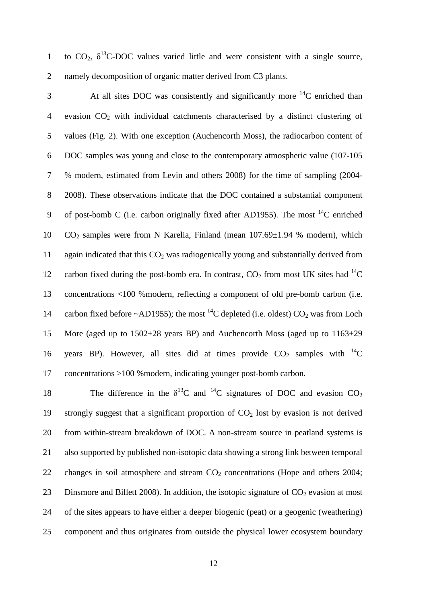to  $CO_2$ ,  $\delta^{13}$ C-DOC values varied little and were consistent with a single source, 2 namely decomposition of organic matter derived from C3 plants.

 $\beta$  At all sites DOC was consistently and significantly more  $^{14}$ C enriched than 4 evasion  $CO<sub>2</sub>$  with individual catchments characterised by a distinct clustering of 5 values (Fig. 2). With one exception (Auchencorth Moss), the radiocarbon content of 6 DOC samples was young and close to the contemporary atmospheric value (107-105 7 % modern, estimated from Levin and others 2008) for the time of sampling (2004- 8 2008). These observations indicate that the DOC contained a substantial component 9 of post-bomb C (i.e. carbon originally fixed after AD1955). The most  $^{14}$ C enriched 10 CO2 samples were from N Karelia, Finland (mean 107.69±1.94 % modern), which 11 again indicated that this  $CO<sub>2</sub>$  was radiogenically young and substantially derived from 12 carbon fixed during the post-bomb era. In contrast,  $CO_2$  from most UK sites had  $^{14}C$ 13 concentrations <100 %modern, reflecting a component of old pre-bomb carbon (i.e. 14 carbon fixed before ~AD1955); the most <sup>14</sup>C depleted (i.e. oldest)  $CO_2$  was from Loch 15 More (aged up to  $1502\pm28$  years BP) and Auchencorth Moss (aged up to  $1163\pm29$ 16 years BP). However, all sites did at times provide  $CO<sub>2</sub>$  samples with <sup>14</sup>C 17 concentrations >100 %modern, indicating younger post-bomb carbon.

18 The difference in the  $\delta^{13}$ C and <sup>14</sup>C signatures of DOC and evasion CO<sub>2</sub> 19 strongly suggest that a significant proportion of  $CO<sub>2</sub>$  lost by evasion is not derived 20 from within-stream breakdown of DOC. A non-stream source in peatland systems is 21 also supported by published non-isotopic data showing a strong link between temporal 22 changes in soil atmosphere and stream  $CO<sub>2</sub>$  concentrations (Hope and others 2004; 23 Dinsmore and Billett 2008). In addition, the isotopic signature of  $CO<sub>2</sub>$  evasion at most 24 of the sites appears to have either a deeper biogenic (peat) or a geogenic (weathering) 25 component and thus originates from outside the physical lower ecosystem boundary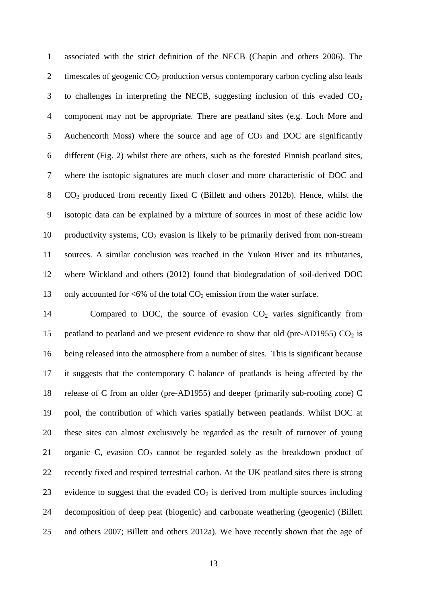associated with the strict definition of the NECB (Chapin and others 2006). The 2 timescales of geogenic  $CO<sub>2</sub>$  production versus contemporary carbon cycling also leads 3 to challenges in interpreting the NECB, suggesting inclusion of this evaded  $CO<sub>2</sub>$  component may not be appropriate. There are peatland sites (e.g. Loch More and 5 Auchencorth Moss) where the source and age of  $CO<sub>2</sub>$  and DOC are significantly different (Fig. 2) whilst there are others, such as the forested Finnish peatland sites, where the isotopic signatures are much closer and more characteristic of DOC and CO2 produced from recently fixed C (Billett and others 2012b). Hence, whilst the isotopic data can be explained by a mixture of sources in most of these acidic low 10 productivity systems,  $CO<sub>2</sub>$  evasion is likely to be primarily derived from non-stream sources. A similar conclusion was reached in the Yukon River and its tributaries, where Wickland and others (2012) found that biodegradation of soil-derived DOC 13 only accounted for  $\langle 6\%$  of the total  $CO_2$  emission from the water surface.

14 Compared to DOC, the source of evasion  $CO<sub>2</sub>$  varies significantly from 15 peatland to peatland and we present evidence to show that old (pre-AD1955)  $CO<sub>2</sub>$  is being released into the atmosphere from a number of sites. This is significant because it suggests that the contemporary C balance of peatlands is being affected by the release of C from an older (pre-AD1955) and deeper (primarily sub-rooting zone) C pool, the contribution of which varies spatially between peatlands. Whilst DOC at these sites can almost exclusively be regarded as the result of turnover of young 21 organic C, evasion  $CO<sub>2</sub>$  cannot be regarded solely as the breakdown product of recently fixed and respired terrestrial carbon. At the UK peatland sites there is strong 23 evidence to suggest that the evaded  $CO<sub>2</sub>$  is derived from multiple sources including decomposition of deep peat (biogenic) and carbonate weathering (geogenic) (Billett and others 2007; Billett and others 2012a). We have recently shown that the age of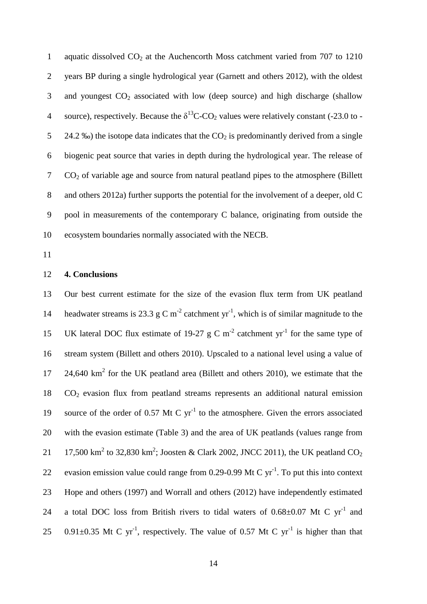1 aquatic dissolved  $CO<sub>2</sub>$  at the Auchencorth Moss catchment varied from 707 to 1210 2 years BP during a single hydrological year (Garnett and others 2012), with the oldest 3 and youngest  $CO<sub>2</sub>$  associated with low (deep source) and high discharge (shallow 4 source), respectively. Because the  $\delta^{13}$ C-CO<sub>2</sub> values were relatively constant (-23.0 to -5 24.2 ‰) the isotope data indicates that the  $CO<sub>2</sub>$  is predominantly derived from a single 6 biogenic peat source that varies in depth during the hydrological year. The release of  $7 \quad \text{CO}_2$  of variable age and source from natural peatland pipes to the atmosphere (Billett 8 and others 2012a) further supports the potential for the involvement of a deeper, old C 9 pool in measurements of the contemporary C balance, originating from outside the 10 ecosystem boundaries normally associated with the NECB.

11

#### 12 **4. Conclusions**

13 Our best current estimate for the size of the evasion flux term from UK peatland headwater streams is 23.3 g C m<sup>-2</sup> catchment yr<sup>-1</sup>, which is of similar magnitude to the 15 UK lateral DOC flux estimate of 19-27 g C  $m<sup>-2</sup>$  catchment yr<sup>-1</sup> for the same type of 16 stream system (Billett and others 2010). Upscaled to a national level using a value of  $24,640 \text{ km}^2$  for the UK peatland area (Billett and others 2010), we estimate that the  $18$   $CO<sub>2</sub>$  evasion flux from peatland streams represents an additional natural emission 19 source of the order of 0.57 Mt C  $yr^{-1}$  to the atmosphere. Given the errors associated 20 with the evasion estimate (Table 3) and the area of UK peatlands (values range from 21 17,500 km<sup>2</sup> to 32,830 km<sup>2</sup>; Joosten & Clark 2002, JNCC 2011), the UK peatland CO<sub>2</sub> 22 evasion emission value could range from 0.29-0.99 Mt C  $yr^{-1}$ . To put this into context 23 Hope and others (1997) and Worrall and others (2012) have independently estimated 24 a total DOC loss from British rivers to tidal waters of  $0.68\pm0.07$  Mt C yr<sup>-1</sup> and 25 0.91 $\pm$ 0.35 Mt C yr<sup>-1</sup>, respectively. The value of 0.57 Mt C yr<sup>-1</sup> is higher than that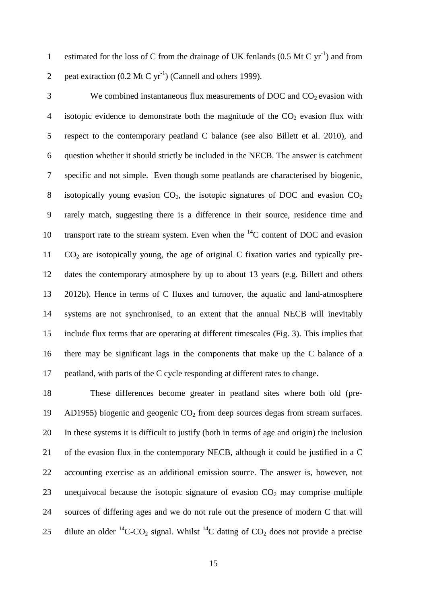1 estimated for the loss of C from the drainage of UK fenlands  $(0.5 \text{ Mt C yr}^{-1})$  and from 2 peat extraction  $(0.2 \text{ Mt C yr}^{-1})$  (Cannell and others 1999).

 We combined instantaneous flux measurements of DOC and  $CO<sub>2</sub>$  evasion with 4 isotopic evidence to demonstrate both the magnitude of the  $CO<sub>2</sub>$  evasion flux with respect to the contemporary peatland C balance (see also Billett et al. 2010), and question whether it should strictly be included in the NECB. The answer is catchment specific and not simple. Even though some peatlands are characterised by biogenic, 8 isotopically young evasion  $CO<sub>2</sub>$ , the isotopic signatures of DOC and evasion  $CO<sub>2</sub>$  rarely match, suggesting there is a difference in their source, residence time and 10 transport rate to the stream system. Even when the  ${}^{14}C$  content of DOC and evasion  $CO<sub>2</sub>$  are isotopically young, the age of original C fixation varies and typically pre- dates the contemporary atmosphere by up to about 13 years (e.g. Billett and others 2012b). Hence in terms of C fluxes and turnover, the aquatic and land-atmosphere systems are not synchronised, to an extent that the annual NECB will inevitably include flux terms that are operating at different timescales (Fig. 3). This implies that there may be significant lags in the components that make up the C balance of a peatland, with parts of the C cycle responding at different rates to change.

 These differences become greater in peatland sites where both old (pre-19 AD1955) biogenic and geogenic  $CO<sub>2</sub>$  from deep sources degas from stream surfaces. In these systems it is difficult to justify (both in terms of age and origin) the inclusion of the evasion flux in the contemporary NECB, although it could be justified in a C accounting exercise as an additional emission source. The answer is, however, not 23 unequivocal because the isotopic signature of evasion  $CO<sub>2</sub>$  may comprise multiple sources of differing ages and we do not rule out the presence of modern C that will 25 dilute an older <sup>14</sup>C-CO<sub>2</sub> signal. Whilst <sup>14</sup>C dating of CO<sub>2</sub> does not provide a precise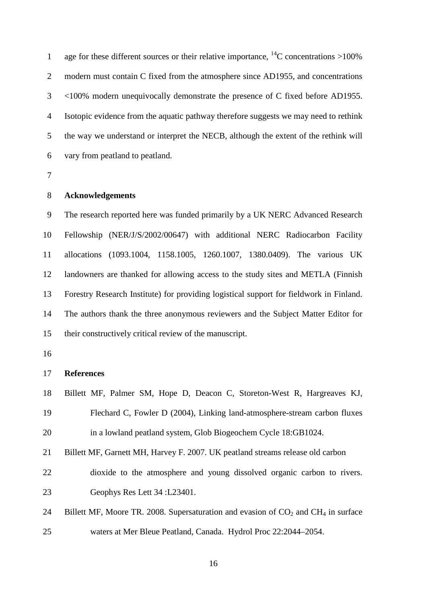1 age for these different sources or their relative importance,  $^{14}$ C concentrations >100% modern must contain C fixed from the atmosphere since AD1955, and concentrations <100% modern unequivocally demonstrate the presence of C fixed before AD1955. Isotopic evidence from the aquatic pathway therefore suggests we may need to rethink the way we understand or interpret the NECB, although the extent of the rethink will vary from peatland to peatland.

#### **Acknowledgements**

 The research reported here was funded primarily by a UK NERC Advanced Research Fellowship (NER/J/S/2002/00647) with additional NERC Radiocarbon Facility allocations (1093.1004, 1158.1005, 1260.1007, 1380.0409). The various UK landowners are thanked for allowing access to the study sites and METLA (Finnish Forestry Research Institute) for providing logistical support for fieldwork in Finland. The authors thank the three anonymous reviewers and the Subject Matter Editor for their constructively critical review of the manuscript.

### **References**

- Billett MF, Palmer SM, Hope D, Deacon C, Storeton-West R, Hargreaves KJ, Flechard C, Fowler D (2004), Linking land-atmosphere-stream carbon fluxes in a lowland peatland system, Glob Biogeochem Cycle 18:GB1024.
- Billett MF, Garnett MH, Harvey F. 2007. UK peatland streams release old carbon dioxide to the atmosphere and young dissolved organic carbon to rivers. Geophys Res Lett 34 :L23401.
- 24 Billett MF, Moore TR. 2008. Supersaturation and evasion of  $CO<sub>2</sub>$  and CH<sub>4</sub> in surface waters at Mer Bleue Peatland, Canada. Hydrol Proc 22:2044–2054.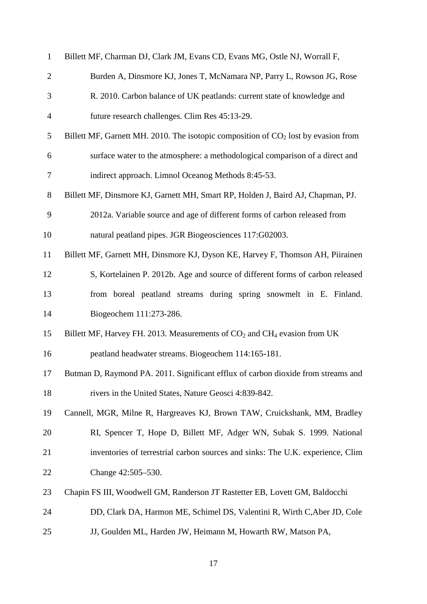| $\mathbf{1}$   | Billett MF, Charman DJ, Clark JM, Evans CD, Evans MG, Ostle NJ, Worrall F,                       |  |  |  |  |  |  |
|----------------|--------------------------------------------------------------------------------------------------|--|--|--|--|--|--|
| $\overline{2}$ | Burden A, Dinsmore KJ, Jones T, McNamara NP, Parry L, Rowson JG, Rose                            |  |  |  |  |  |  |
| 3              | R. 2010. Carbon balance of UK peatlands: current state of knowledge and                          |  |  |  |  |  |  |
| $\overline{4}$ | future research challenges. Clim Res 45:13-29.                                                   |  |  |  |  |  |  |
| 5              | Billett MF, Garnett MH. 2010. The isotopic composition of $CO2$ lost by evasion from             |  |  |  |  |  |  |
| 6              | surface water to the atmosphere: a methodological comparison of a direct and                     |  |  |  |  |  |  |
| $\tau$         | indirect approach. Limnol Oceanog Methods 8:45-53.                                               |  |  |  |  |  |  |
| 8              | Billett MF, Dinsmore KJ, Garnett MH, Smart RP, Holden J, Baird AJ, Chapman, PJ.                  |  |  |  |  |  |  |
| 9              | 2012a. Variable source and age of different forms of carbon released from                        |  |  |  |  |  |  |
| 10             | natural peatland pipes. JGR Biogeosciences 117:G02003.                                           |  |  |  |  |  |  |
| 11             | Billett MF, Garnett MH, Dinsmore KJ, Dyson KE, Harvey F, Thomson AH, Piirainen                   |  |  |  |  |  |  |
| 12             | S, Kortelainen P. 2012b. Age and source of different forms of carbon released                    |  |  |  |  |  |  |
| 13             | from boreal peatland streams during spring snowmelt in E. Finland.                               |  |  |  |  |  |  |
| 14             | Biogeochem 111:273-286.                                                                          |  |  |  |  |  |  |
| 15             | Billett MF, Harvey FH. 2013. Measurements of CO <sub>2</sub> and CH <sub>4</sub> evasion from UK |  |  |  |  |  |  |
| 16             | peatland headwater streams. Biogeochem 114:165-181.                                              |  |  |  |  |  |  |
| 17             | Butman D, Raymond PA. 2011. Significant efflux of carbon dioxide from streams and                |  |  |  |  |  |  |
| 18             | rivers in the United States, Nature Geosci 4:839-842.                                            |  |  |  |  |  |  |
| 19             | Cannell, MGR, Milne R, Hargreaves KJ, Brown TAW, Cruickshank, MM, Bradley                        |  |  |  |  |  |  |
| 20             | RI, Spencer T, Hope D, Billett MF, Adger WN, Subak S. 1999. National                             |  |  |  |  |  |  |
| 21             | inventories of terrestrial carbon sources and sinks: The U.K. experience, Clim                   |  |  |  |  |  |  |
| 22             | Change 42:505-530.                                                                               |  |  |  |  |  |  |
| 23             | Chapin FS III, Woodwell GM, Randerson JT Rastetter EB, Lovett GM, Baldocchi                      |  |  |  |  |  |  |
| 24             | DD, Clark DA, Harmon ME, Schimel DS, Valentini R, Wirth C, Aber JD, Cole                         |  |  |  |  |  |  |
| 25             | JJ, Goulden ML, Harden JW, Heimann M, Howarth RW, Matson PA,                                     |  |  |  |  |  |  |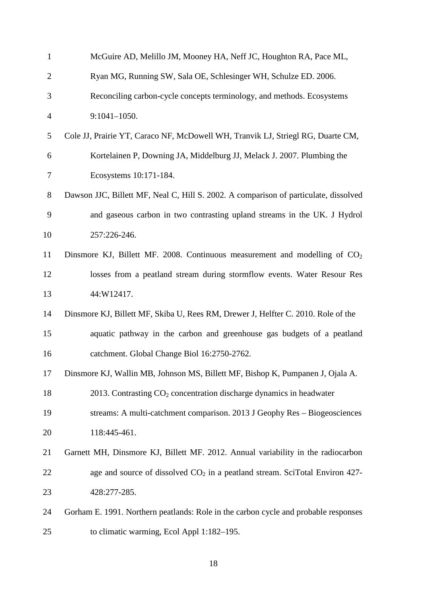| $\mathbf{1}$   | McGuire AD, Melillo JM, Mooney HA, Neff JC, Houghton RA, Pace ML,                    |
|----------------|--------------------------------------------------------------------------------------|
| $\overline{2}$ | Ryan MG, Running SW, Sala OE, Schlesinger WH, Schulze ED. 2006.                      |
| 3              | Reconciling carbon-cycle concepts terminology, and methods. Ecosystems               |
| $\overline{4}$ | $9:1041-1050.$                                                                       |
| 5              | Cole JJ, Prairie YT, Caraco NF, McDowell WH, Tranvik LJ, Striegl RG, Duarte CM,      |
| 6              | Kortelainen P, Downing JA, Middelburg JJ, Melack J. 2007. Plumbing the               |
| $\tau$         | Ecosystems 10:171-184.                                                               |
| 8              | Dawson JJC, Billett MF, Neal C, Hill S. 2002. A comparison of particulate, dissolved |
| 9              | and gaseous carbon in two contrasting upland streams in the UK. J Hydrol             |
| 10             | 257:226-246.                                                                         |
| 11             | Dinsmore KJ, Billett MF. 2008. Continuous measurement and modelling of $CO2$         |
| 12             | losses from a peatland stream during stormflow events. Water Resour Res              |
| 13             | 44:W12417.                                                                           |
| 14             | Dinsmore KJ, Billett MF, Skiba U, Rees RM, Drewer J, Helfter C. 2010. Role of the    |
| 15             | aquatic pathway in the carbon and greenhouse gas budgets of a peatland               |
| 16             | catchment. Global Change Biol 16:2750-2762.                                          |
| 17             | Dinsmore KJ, Wallin MB, Johnson MS, Billett MF, Bishop K, Pumpanen J, Ojala A.       |
| 18             | 2013. Contrasting $CO2$ concentration discharge dynamics in headwater                |
| 19             | streams: A multi-catchment comparison. 2013 J Geophy Res - Biogeosciences            |
| 20             | 118:445-461.                                                                         |
| 21             | Garnett MH, Dinsmore KJ, Billett MF. 2012. Annual variability in the radiocarbon     |
| 22             | age and source of dissolved $CO2$ in a peatland stream. SciTotal Environ 427-        |
| 23             | 428:277-285.                                                                         |
| 24             | Gorham E. 1991. Northern peatlands: Role in the carbon cycle and probable responses  |
| 25             | to climatic warming, Ecol Appl 1:182-195.                                            |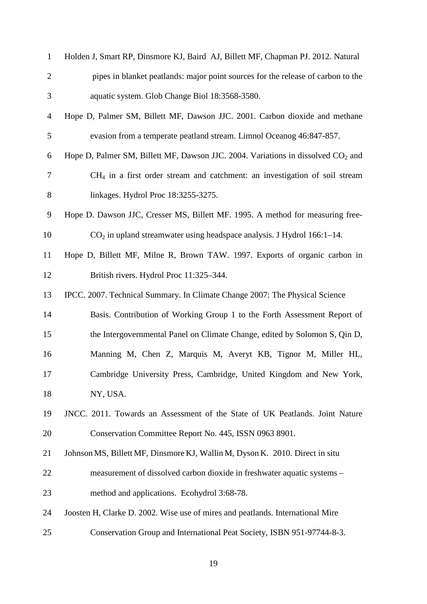| $\mathbf{1}$   | Holden J, Smart RP, Dinsmore KJ, Baird AJ, Billett MF, Chapman PJ. 2012. Natural             |  |  |  |  |  |
|----------------|----------------------------------------------------------------------------------------------|--|--|--|--|--|
| $\overline{2}$ | pipes in blanket peatlands: major point sources for the release of carbon to the             |  |  |  |  |  |
| 3              | aquatic system. Glob Change Biol 18:3568-3580.                                               |  |  |  |  |  |
| $\overline{4}$ | Hope D, Palmer SM, Billett MF, Dawson JJC. 2001. Carbon dioxide and methane                  |  |  |  |  |  |
| 5              | evasion from a temperate peatland stream. Limnol Oceanog 46:847-857.                         |  |  |  |  |  |
| 6              | Hope D, Palmer SM, Billett MF, Dawson JJC. 2004. Variations in dissolved CO <sub>2</sub> and |  |  |  |  |  |
| $\tau$         | $CH4$ in a first order stream and catchment: an investigation of soil stream                 |  |  |  |  |  |
| $8\,$          | linkages. Hydrol Proc 18:3255-3275.                                                          |  |  |  |  |  |
| 9              | Hope D. Dawson JJC, Cresser MS, Billett MF. 1995. A method for measuring free-               |  |  |  |  |  |
| 10             | $CO2$ in upland streamwater using headspace analysis. J Hydrol 166:1–14.                     |  |  |  |  |  |
| 11             | Hope D, Billett MF, Milne R, Brown TAW. 1997. Exports of organic carbon in                   |  |  |  |  |  |
| 12             | British rivers. Hydrol Proc 11:325-344.                                                      |  |  |  |  |  |
| 13             | IPCC. 2007. Technical Summary. In Climate Change 2007: The Physical Science                  |  |  |  |  |  |
| 14             | Basis. Contribution of Working Group 1 to the Forth Assessment Report of                     |  |  |  |  |  |
| 15             | the Intergovernmental Panel on Climate Change, edited by Solomon S, Qin D,                   |  |  |  |  |  |
| 16             | Manning M, Chen Z, Marquis M, Averyt KB, Tignor M, Miller HL,                                |  |  |  |  |  |
| 17             | Cambridge University Press, Cambridge, United Kingdom and New York,                          |  |  |  |  |  |
| 18             | NY, USA.                                                                                     |  |  |  |  |  |
| 19             | JNCC. 2011. Towards an Assessment of the State of UK Peatlands. Joint Nature                 |  |  |  |  |  |
| 20             | Conservation Committee Report No. 445, ISSN 0963 8901.                                       |  |  |  |  |  |
| 21             | Johnson MS, Billett MF, Dinsmore KJ, Wallin M, Dyson K. 2010. Direct in situ                 |  |  |  |  |  |
| 22             | measurement of dissolved carbon dioxide in freshwater aquatic systems –                      |  |  |  |  |  |
| 23             | method and applications. Ecohydrol 3:68-78.                                                  |  |  |  |  |  |
| 24             | Joosten H, Clarke D. 2002. Wise use of mires and peatlands. International Mire               |  |  |  |  |  |
| 25             | Conservation Group and International Peat Society, ISBN 951-97744-8-3.                       |  |  |  |  |  |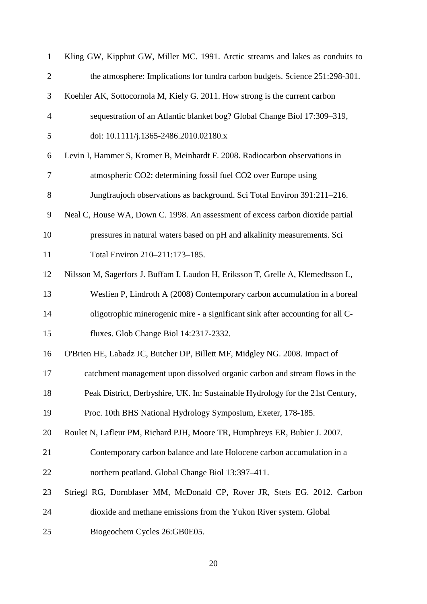| $\mathbf{1}$   | Kling GW, Kipphut GW, Miller MC. 1991. Arctic streams and lakes as conduits to   |  |  |  |  |  |
|----------------|----------------------------------------------------------------------------------|--|--|--|--|--|
| $\mathbf{2}$   | the atmosphere: Implications for tundra carbon budgets. Science 251:298-301.     |  |  |  |  |  |
| 3              | Koehler AK, Sottocornola M, Kiely G. 2011. How strong is the current carbon      |  |  |  |  |  |
| $\overline{4}$ | sequestration of an Atlantic blanket bog? Global Change Biol 17:309-319,         |  |  |  |  |  |
| 5              | doi: 10.1111/j.1365-2486.2010.02180.x                                            |  |  |  |  |  |
| 6              | Levin I, Hammer S, Kromer B, Meinhardt F. 2008. Radiocarbon observations in      |  |  |  |  |  |
| $\tau$         | atmospheric CO2: determining fossil fuel CO2 over Europe using                   |  |  |  |  |  |
| $8\,$          | Jungfraujoch observations as background. Sci Total Environ 391:211-216.          |  |  |  |  |  |
| 9              | Neal C, House WA, Down C. 1998. An assessment of excess carbon dioxide partial   |  |  |  |  |  |
| 10             | pressures in natural waters based on pH and alkalinity measurements. Sci         |  |  |  |  |  |
| 11             | Total Environ 210-211:173-185.                                                   |  |  |  |  |  |
| 12             | Nilsson M, Sagerfors J. Buffam I. Laudon H, Eriksson T, Grelle A, Klemedtsson L, |  |  |  |  |  |
| 13             | Weslien P, Lindroth A (2008) Contemporary carbon accumulation in a boreal        |  |  |  |  |  |
| 14             | oligotrophic minerogenic mire - a significant sink after accounting for all C-   |  |  |  |  |  |
| 15             | fluxes. Glob Change Biol 14:2317-2332.                                           |  |  |  |  |  |
| 16             | O'Brien HE, Labadz JC, Butcher DP, Billett MF, Midgley NG. 2008. Impact of       |  |  |  |  |  |
| 17             | catchment management upon dissolved organic carbon and stream flows in the       |  |  |  |  |  |
| 18             | Peak District, Derbyshire, UK. In: Sustainable Hydrology for the 21st Century,   |  |  |  |  |  |
| 19             | Proc. 10th BHS National Hydrology Symposium, Exeter, 178-185.                    |  |  |  |  |  |
| 20             | Roulet N, Lafleur PM, Richard PJH, Moore TR, Humphreys ER, Bubier J. 2007.       |  |  |  |  |  |
| 21             | Contemporary carbon balance and late Holocene carbon accumulation in a           |  |  |  |  |  |
| 22             | northern peatland. Global Change Biol 13:397-411.                                |  |  |  |  |  |
| 23             | Striegl RG, Dornblaser MM, McDonald CP, Rover JR, Stets EG. 2012. Carbon         |  |  |  |  |  |
| 24             | dioxide and methane emissions from the Yukon River system. Global                |  |  |  |  |  |
| 25             | Biogeochem Cycles 26:GB0E05.                                                     |  |  |  |  |  |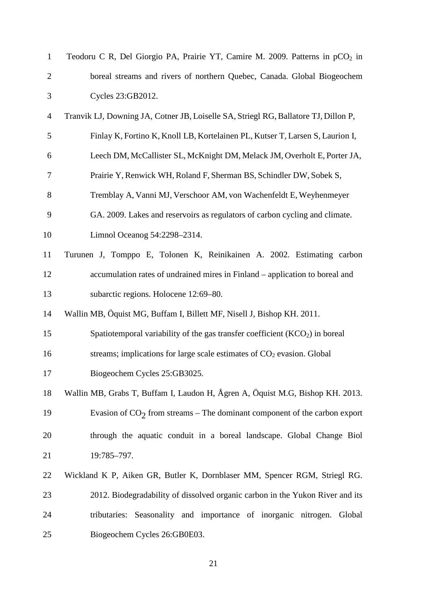| $\mathbf{1}$   | Teodoru C R, Del Giorgio PA, Prairie YT, Camire M. 2009. Patterns in pCO <sub>2</sub> in |  |  |  |  |  |  |
|----------------|------------------------------------------------------------------------------------------|--|--|--|--|--|--|
| $\overline{2}$ | boreal streams and rivers of northern Quebec, Canada. Global Biogeochem                  |  |  |  |  |  |  |
| 3              | Cycles 23:GB2012.                                                                        |  |  |  |  |  |  |
| $\overline{4}$ | Tranvik LJ, Downing JA, Cotner JB, Loiselle SA, Striegl RG, Ballatore TJ, Dillon P,      |  |  |  |  |  |  |
| 5              | Finlay K, Fortino K, Knoll LB, Kortelainen PL, Kutser T, Larsen S, Laurion I,            |  |  |  |  |  |  |
| 6              | Leech DM, McCallister SL, McKnight DM, Melack JM, Overholt E, Porter JA,                 |  |  |  |  |  |  |
| 7              | Prairie Y, Renwick WH, Roland F, Sherman BS, Schindler DW, Sobek S,                      |  |  |  |  |  |  |
| 8              | Tremblay A, Vanni MJ, Verschoor AM, von Wachenfeldt E, Weyhenmeyer                       |  |  |  |  |  |  |
| 9              | GA. 2009. Lakes and reservoirs as regulators of carbon cycling and climate.              |  |  |  |  |  |  |
| 10             | Limnol Oceanog 54:2298-2314.                                                             |  |  |  |  |  |  |
| 11             | Turunen J, Tomppo E, Tolonen K, Reinikainen A. 2002. Estimating carbon                   |  |  |  |  |  |  |
| 12             | accumulation rates of undrained mires in Finland - application to boreal and             |  |  |  |  |  |  |
| 13             | subarctic regions. Holocene 12:69-80.                                                    |  |  |  |  |  |  |
| 14             | Wallin MB, Öquist MG, Buffam I, Billett MF, Nisell J, Bishop KH. 2011.                   |  |  |  |  |  |  |
| 15             | Spatiotemporal variability of the gas transfer coefficient (KCO <sub>2</sub> ) in boreal |  |  |  |  |  |  |
| 16             | streams; implications for large scale estimates of $CO2$ evasion. Global                 |  |  |  |  |  |  |
| 17             | Biogeochem Cycles 25:GB3025.                                                             |  |  |  |  |  |  |
| 18             | Wallin MB, Grabs T, Buffam I, Laudon H, Ågren A, Öquist M.G, Bishop KH. 2013.            |  |  |  |  |  |  |
| 19             | Evasion of $CO2$ from streams – The dominant component of the carbon export              |  |  |  |  |  |  |
| 20             | through the aquatic conduit in a boreal landscape. Global Change Biol                    |  |  |  |  |  |  |
| 21             | 19:785-797.                                                                              |  |  |  |  |  |  |
| 22             | Wickland K P, Aiken GR, Butler K, Dornblaser MM, Spencer RGM, Striegl RG.                |  |  |  |  |  |  |
| 23             | 2012. Biodegradability of dissolved organic carbon in the Yukon River and its            |  |  |  |  |  |  |
| 24             | Seasonality and importance of inorganic nitrogen.<br>tributaries:<br>Global              |  |  |  |  |  |  |
| 25             | Biogeochem Cycles 26:GB0E03.                                                             |  |  |  |  |  |  |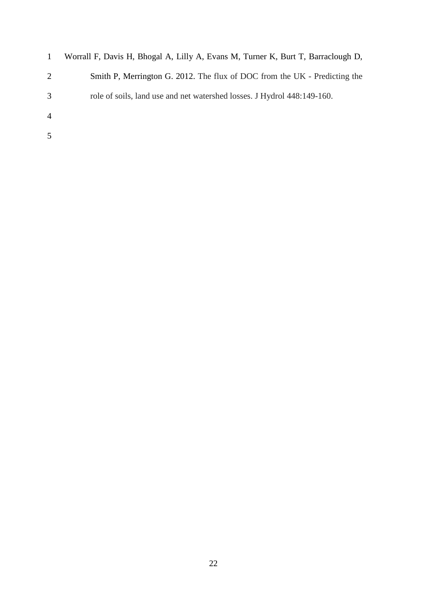| $\mathbf{1}$   | Worrall F, Davis H, Bhogal A, Lilly A, Evans M, Turner K, Burt T, Barraclough D, |
|----------------|----------------------------------------------------------------------------------|
| 2              | Smith P, Merrington G. 2012. The flux of DOC from the UK - Predicting the        |
| 3              | role of soils, land use and net watershed losses. J Hydrol 448:149-160.          |
| $\overline{4}$ |                                                                                  |
| 5              |                                                                                  |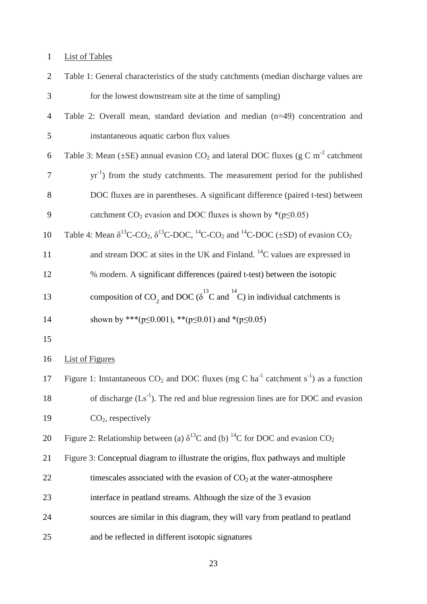# List of Tables

| $\overline{2}$ | Table 1: General characteristics of the study catchments (median discharge values are                                                                               |
|----------------|---------------------------------------------------------------------------------------------------------------------------------------------------------------------|
| 3              | for the lowest downstream site at the time of sampling)                                                                                                             |
| $\overline{4}$ | Table 2: Overall mean, standard deviation and median (n=49) concentration and                                                                                       |
| 5              | instantaneous aquatic carbon flux values                                                                                                                            |
| 6              | Table 3: Mean ( $\pm$ SE) annual evasion CO <sub>2</sub> and lateral DOC fluxes (g C m <sup>-2</sup> catchment                                                      |
| $\tau$         | $yr^{-1}$ ) from the study catchments. The measurement period for the published                                                                                     |
| 8              | DOC fluxes are in parentheses. A significant difference (paired t-test) between                                                                                     |
| 9              | catchment $CO_2$ evasion and DOC fluxes is shown by *( $p \le 0.05$ )                                                                                               |
| 10             | Table 4: Mean $\delta^{13}$ C-CO <sub>2</sub> , $\delta^{13}$ C-DOC, <sup>14</sup> C-CO <sub>2</sub> and <sup>14</sup> C-DOC ( $\pm$ SD) of evasion CO <sub>2</sub> |
| 11             | and stream DOC at sites in the UK and Finland. <sup>14</sup> C values are expressed in                                                                              |
| 12             | % modern. A significant differences (paired t-test) between the isotopic                                                                                            |
| 13             | composition of CO <sub>2</sub> and DOC ( $\delta^{13}$ C and <sup>14</sup> C) in individual catchments is                                                           |
|                |                                                                                                                                                                     |
| 14             | shown by *** ( $p \le 0.001$ ), ** ( $p \le 0.01$ ) and * ( $p \le 0.05$ )                                                                                          |
| 15             |                                                                                                                                                                     |
| 16             | <b>List of Figures</b>                                                                                                                                              |
| 17             | Figure 1: Instantaneous $CO_2$ and DOC fluxes (mg C ha <sup>-1</sup> catchment s <sup>-1</sup> ) as a function                                                      |
| 18             | of discharge $(Ls^{-1})$ . The red and blue regression lines are for DOC and evasion                                                                                |
| 19             | $CO2$ , respectively                                                                                                                                                |
| 20             | Figure 2: Relationship between (a) $\delta^{13}$ C and (b) <sup>14</sup> C for DOC and evasion CO <sub>2</sub>                                                      |
| 21             | Figure 3: Conceptual diagram to illustrate the origins, flux pathways and multiple                                                                                  |
| 22             | timescales associated with the evasion of $CO2$ at the water-atmosphere                                                                                             |
| 23             | interface in peatland streams. Although the size of the 3 evasion                                                                                                   |
| 24             | sources are similar in this diagram, they will vary from peatland to peatland                                                                                       |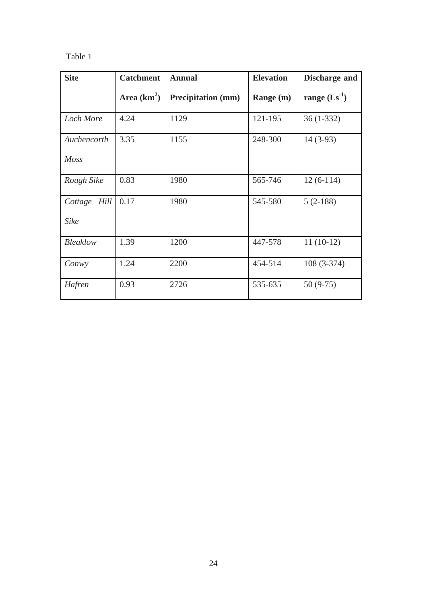## Table 1

| <b>Site</b>      | <b>Catchment</b> | <b>Annual</b>             | <b>Elevation</b> | Discharge and     |
|------------------|------------------|---------------------------|------------------|-------------------|
|                  | Area $(km^2)$    | <b>Precipitation</b> (mm) | Range (m)        | range $(Ls^{-1})$ |
| <b>Loch More</b> | 4.24             | 1129                      | 121-195          | $36(1-332)$       |
| Auchencorth      | 3.35             | 1155                      | 248-300          | $14(3-93)$        |
| <b>Moss</b>      |                  |                           |                  |                   |
| Rough Sike       | 0.83             | 1980                      | 565-746          | $12(6-114)$       |
| Hill<br>Cottage  | 0.17             | 1980                      | 545-580          | $5(2-188)$        |
| <b>Sike</b>      |                  |                           |                  |                   |
| <b>Bleaklow</b>  | 1.39             | 1200                      | 447-578          | $11(10-12)$       |
| Conwy            | 1.24             | 2200                      | 454-514          | $108(3-374)$      |
| Hafren           | 0.93             | 2726                      | 535-635          | $50(9-75)$        |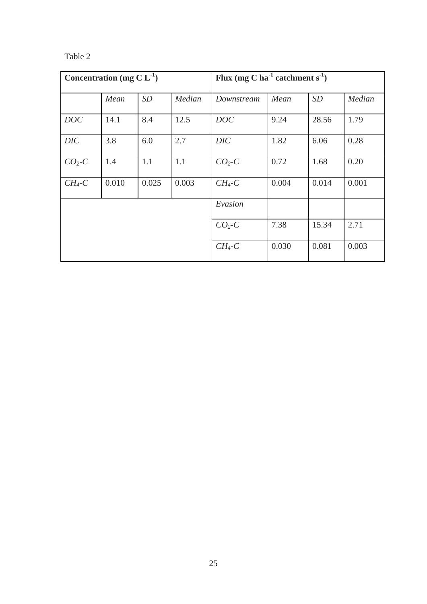| m<br>я |  |
|--------|--|
|--------|--|

| Concentration (mg $CL^{-1}$ ) |       |       |        | Flux (mg C ha <sup>-1</sup> catchment s <sup>-1</sup> ) |       |       |        |
|-------------------------------|-------|-------|--------|---------------------------------------------------------|-------|-------|--------|
|                               | Mean  | SD    | Median | Downstream                                              | Mean  | SD    | Median |
| <b>DOC</b>                    | 14.1  | 8.4   | 12.5   | <b>DOC</b>                                              | 9.24  | 28.56 | 1.79   |
| DIC                           | 3.8   | 6.0   | 2.7    | <b>DIC</b>                                              | 1.82  | 6.06  | 0.28   |
| $CO2$ -C                      | 1.4   | 1.1   | 1.1    | $CO2-C$                                                 | 0.72  | 1.68  | 0.20   |
| $CH_4$ -C                     | 0.010 | 0.025 | 0.003  | $CH_4$ -C                                               | 0.004 | 0.014 | 0.001  |
|                               |       |       |        | Evasion                                                 |       |       |        |
|                               |       |       |        | $CO_2$ -C                                               | 7.38  | 15.34 | 2.71   |
|                               |       |       |        | $CH4-C$                                                 | 0.030 | 0.081 | 0.003  |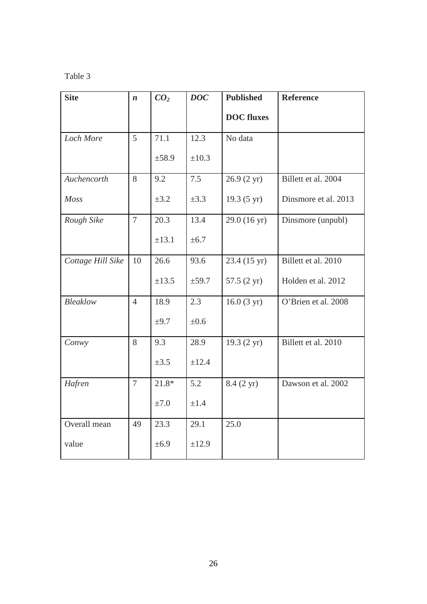## Table 3

| <b>Site</b>       | $\boldsymbol{n}$ | CO <sub>2</sub> | <b>DOC</b> | <b>Published</b>      | <b>Reference</b>     |
|-------------------|------------------|-----------------|------------|-----------------------|----------------------|
|                   |                  |                 |            | <b>DOC</b> fluxes     |                      |
| Loch More         | 5                | 71.1            | 12.3       | No data               |                      |
|                   |                  | $\pm$ 58.9      | $\pm 10.3$ |                       |                      |
| Auchencorth       | 8                | 9.2             | 7.5        | $26.9(2 \text{ yr})$  | Billett et al. 2004  |
| Moss              |                  | $\pm 3.2$       | $\pm 3.3$  | $19.3(5 \text{ yr})$  | Dinsmore et al. 2013 |
| Rough Sike        | $\overline{7}$   | 20.3            | 13.4       | 29.0 (16 yr)          | Dinsmore (unpubl)    |
|                   |                  | ±13.1           | $\pm 6.7$  |                       |                      |
| Cottage Hill Sike | 10               | 26.6            | 93.6       | 23.4 (15 yr)          | Billett et al. 2010  |
|                   |                  | $\pm 13.5$      | $\pm$ 59.7 | 57.5 $(2 \text{ yr})$ | Holden et al. 2012   |
| <b>Bleaklow</b>   | $\overline{4}$   | 18.9            | 2.3        | $16.0(3 \text{ yr})$  | O'Brien et al. 2008  |
|                   |                  | $\pm 9.7$       | $\pm 0.6$  |                       |                      |
| Conwy             | 8                | 9.3             | 28.9       | 19.3 (2 yr)           | Billett et al. 2010  |
|                   |                  | $\pm 3.5$       | ±12.4      |                       |                      |
| Hafren            | $\overline{7}$   | $21.8*$         | 5.2        | 8.4 (2 yr)            | Dawson et al. 2002   |
|                   |                  | ±7.0            | $\pm 1.4$  |                       |                      |
| Overall mean      | 49               | 23.3            | 29.1       | 25.0                  |                      |
| value             |                  | ±6.9            | ±12.9      |                       |                      |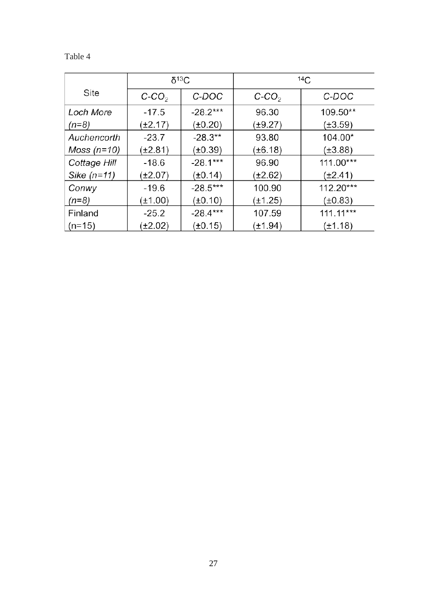| v |  |
|---|--|
|---|--|

|               | $\delta^{13}C$ |              | 14C          |              |  |
|---------------|----------------|--------------|--------------|--------------|--|
| Site          | $C-CO2$        | C-DOC        | $C-CO2$      | C-DOC        |  |
| Loch More     | $-17.5$        | $-28.2***$   | 96.30        | 109.50**     |  |
| $(n=8)$       | (±2.17)        | $(\pm 0.20)$ | (±9.27)      | $(\pm 3.59)$ |  |
| Auchencorth   | $-23.7$        | $-28.3**$    | 93.80        | 104.00*      |  |
| Moss $(n=10)$ | (±2.81)        | $(\pm 0.39)$ | (±6.18)      | $(\pm 3.88)$ |  |
| Cottage Hill  | $-18.6$        | $-28.1***$   | 96.90        | $111.00***$  |  |
| Sike $(n=11)$ | (±2.07)        | $(\pm 0.14)$ | (±2.62)      | $(\pm 2.41)$ |  |
| Conwy         | $-19.6$        | $-28.5***$   | 100.90       | $112.20***$  |  |
| $(n=8)$       | $\pm 1.00$ )   | $(\pm 0.10)$ | $(\pm 1.25)$ | $(\pm 0.83)$ |  |
| Finland       | $-25.2$        | $-28.4***$   | 107.59       | $111.11***$  |  |
| $(n=15)$      | $\pm 2.02$     | (±0.15)      | (±1.94)      | $(\pm 1.18)$ |  |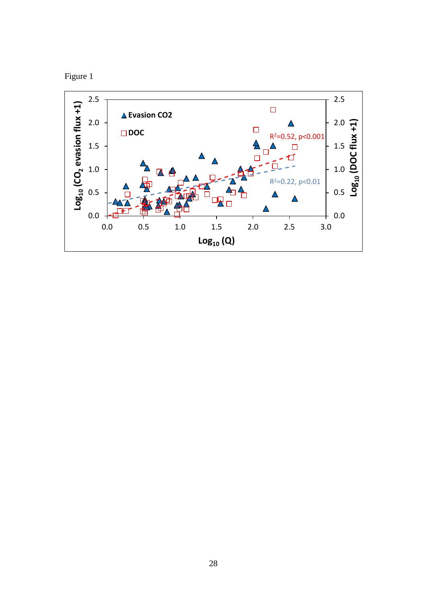

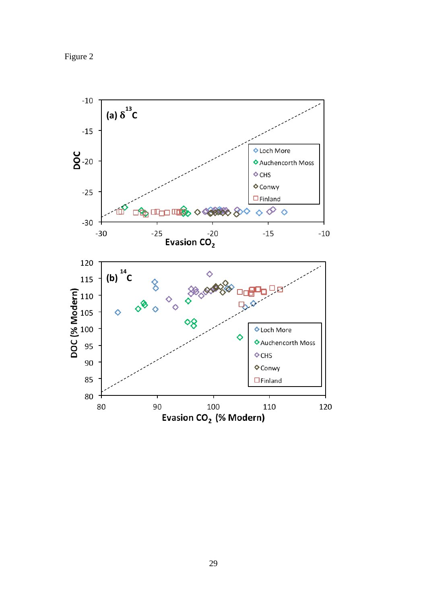Figure 2